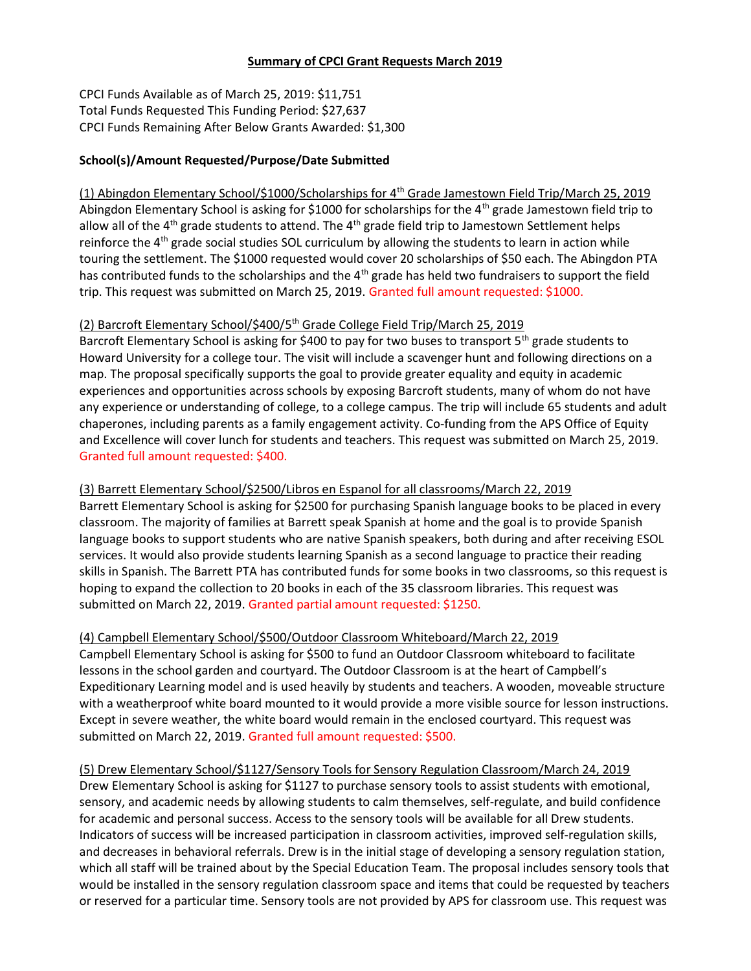### Summary of CPCI Grant Requests March 2019

CPCI Funds Available as of March 25, 2019: \$11,751 Total Funds Requested This Funding Period: \$27,637 CPCI Funds Remaining After Below Grants Awarded: \$1,300

### School(s)/Amount Requested/Purpose/Date Submitted

(1) Abingdon Elementary School/\$1000/Scholarships for 4th Grade Jamestown Field Trip/March 25, 2019 Abingdon Elementary School is asking for \$1000 for scholarships for the 4<sup>th</sup> grade Jamestown field trip to allow all of the  $4<sup>th</sup>$  grade students to attend. The  $4<sup>th</sup>$  grade field trip to Jamestown Settlement helps reinforce the  $4<sup>th</sup>$  grade social studies SOL curriculum by allowing the students to learn in action while touring the settlement. The \$1000 requested would cover 20 scholarships of \$50 each. The Abingdon PTA has contributed funds to the scholarships and the 4<sup>th</sup> grade has held two fundraisers to support the field trip. This request was submitted on March 25, 2019. Granted full amount requested: \$1000.

# (2) Barcroft Elementary School/\$400/5th Grade College Field Trip/March 25, 2019

Barcroft Elementary School is asking for \$400 to pay for two buses to transport 5<sup>th</sup> grade students to Howard University for a college tour. The visit will include a scavenger hunt and following directions on a map. The proposal specifically supports the goal to provide greater equality and equity in academic experiences and opportunities across schools by exposing Barcroft students, many of whom do not have any experience or understanding of college, to a college campus. The trip will include 65 students and adult chaperones, including parents as a family engagement activity. Co-funding from the APS Office of Equity and Excellence will cover lunch for students and teachers. This request was submitted on March 25, 2019. Granted full amount requested: \$400.

### (3) Barrett Elementary School/\$2500/Libros en Espanol for all classrooms/March 22, 2019

Barrett Elementary School is asking for \$2500 for purchasing Spanish language books to be placed in every classroom. The majority of families at Barrett speak Spanish at home and the goal is to provide Spanish language books to support students who are native Spanish speakers, both during and after receiving ESOL services. It would also provide students learning Spanish as a second language to practice their reading skills in Spanish. The Barrett PTA has contributed funds for some books in two classrooms, so this request is hoping to expand the collection to 20 books in each of the 35 classroom libraries. This request was submitted on March 22, 2019. Granted partial amount requested: \$1250.

### (4) Campbell Elementary School/\$500/Outdoor Classroom Whiteboard/March 22, 2019

Campbell Elementary School is asking for \$500 to fund an Outdoor Classroom whiteboard to facilitate lessons in the school garden and courtyard. The Outdoor Classroom is at the heart of Campbell's Expeditionary Learning model and is used heavily by students and teachers. A wooden, moveable structure with a weatherproof white board mounted to it would provide a more visible source for lesson instructions. Except in severe weather, the white board would remain in the enclosed courtyard. This request was submitted on March 22, 2019. Granted full amount requested: \$500.

### (5) Drew Elementary School/\$1127/Sensory Tools for Sensory Regulation Classroom/March 24, 2019

Drew Elementary School is asking for \$1127 to purchase sensory tools to assist students with emotional, sensory, and academic needs by allowing students to calm themselves, self-regulate, and build confidence for academic and personal success. Access to the sensory tools will be available for all Drew students. Indicators of success will be increased participation in classroom activities, improved self-regulation skills, and decreases in behavioral referrals. Drew is in the initial stage of developing a sensory regulation station, which all staff will be trained about by the Special Education Team. The proposal includes sensory tools that would be installed in the sensory regulation classroom space and items that could be requested by teachers or reserved for a particular time. Sensory tools are not provided by APS for classroom use. This request was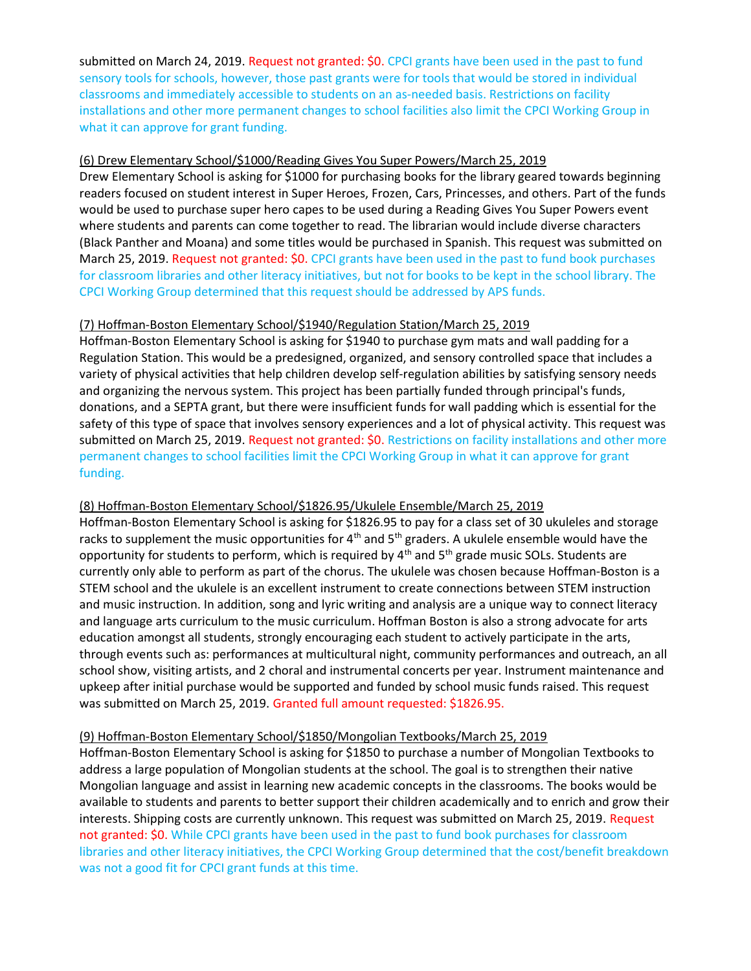submitted on March 24, 2019. Request not granted: \$0. CPCI grants have been used in the past to fund sensory tools for schools, however, those past grants were for tools that would be stored in individual classrooms and immediately accessible to students on an as-needed basis. Restrictions on facility installations and other more permanent changes to school facilities also limit the CPCI Working Group in what it can approve for grant funding.

### (6) Drew Elementary School/\$1000/Reading Gives You Super Powers/March 25, 2019

Drew Elementary School is asking for \$1000 for purchasing books for the library geared towards beginning readers focused on student interest in Super Heroes, Frozen, Cars, Princesses, and others. Part of the funds would be used to purchase super hero capes to be used during a Reading Gives You Super Powers event where students and parents can come together to read. The librarian would include diverse characters (Black Panther and Moana) and some titles would be purchased in Spanish. This request was submitted on March 25, 2019. Request not granted: \$0. CPCI grants have been used in the past to fund book purchases for classroom libraries and other literacy initiatives, but not for books to be kept in the school library. The CPCI Working Group determined that this request should be addressed by APS funds.

### (7) Hoffman-Boston Elementary School/\$1940/Regulation Station/March 25, 2019

Hoffman-Boston Elementary School is asking for \$1940 to purchase gym mats and wall padding for a Regulation Station. This would be a predesigned, organized, and sensory controlled space that includes a variety of physical activities that help children develop self-regulation abilities by satisfying sensory needs and organizing the nervous system. This project has been partially funded through principal's funds, donations, and a SEPTA grant, but there were insufficient funds for wall padding which is essential for the safety of this type of space that involves sensory experiences and a lot of physical activity. This request was submitted on March 25, 2019. Request not granted: \$0. Restrictions on facility installations and other more permanent changes to school facilities limit the CPCI Working Group in what it can approve for grant funding.

#### (8) Hoffman-Boston Elementary School/\$1826.95/Ukulele Ensemble/March 25, 2019

Hoffman-Boston Elementary School is asking for \$1826.95 to pay for a class set of 30 ukuleles and storage racks to supplement the music opportunities for  $4<sup>th</sup>$  and  $5<sup>th</sup>$  graders. A ukulele ensemble would have the opportunity for students to perform, which is required by  $4<sup>th</sup>$  and  $5<sup>th</sup>$  grade music SOLs. Students are currently only able to perform as part of the chorus. The ukulele was chosen because Hoffman-Boston is a STEM school and the ukulele is an excellent instrument to create connections between STEM instruction and music instruction. In addition, song and lyric writing and analysis are a unique way to connect literacy and language arts curriculum to the music curriculum. Hoffman Boston is also a strong advocate for arts education amongst all students, strongly encouraging each student to actively participate in the arts, through events such as: performances at multicultural night, community performances and outreach, an all school show, visiting artists, and 2 choral and instrumental concerts per year. Instrument maintenance and upkeep after initial purchase would be supported and funded by school music funds raised. This request was submitted on March 25, 2019. Granted full amount requested: \$1826.95.

#### (9) Hoffman-Boston Elementary School/\$1850/Mongolian Textbooks/March 25, 2019

Hoffman-Boston Elementary School is asking for \$1850 to purchase a number of Mongolian Textbooks to address a large population of Mongolian students at the school. The goal is to strengthen their native Mongolian language and assist in learning new academic concepts in the classrooms. The books would be available to students and parents to better support their children academically and to enrich and grow their interests. Shipping costs are currently unknown. This request was submitted on March 25, 2019. Request not granted: \$0. While CPCI grants have been used in the past to fund book purchases for classroom libraries and other literacy initiatives, the CPCI Working Group determined that the cost/benefit breakdown was not a good fit for CPCI grant funds at this time.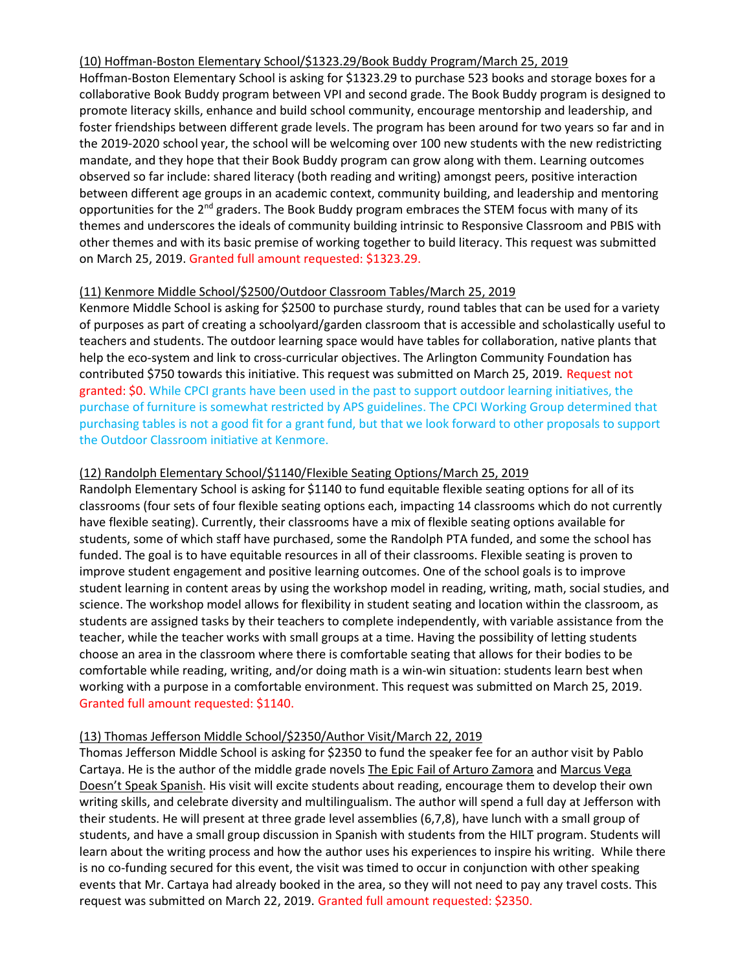### (10) Hoffman-Boston Elementary School/\$1323.29/Book Buddy Program/March 25, 2019

Hoffman-Boston Elementary School is asking for \$1323.29 to purchase 523 books and storage boxes for a collaborative Book Buddy program between VPI and second grade. The Book Buddy program is designed to promote literacy skills, enhance and build school community, encourage mentorship and leadership, and foster friendships between different grade levels. The program has been around for two years so far and in the 2019-2020 school year, the school will be welcoming over 100 new students with the new redistricting mandate, and they hope that their Book Buddy program can grow along with them. Learning outcomes observed so far include: shared literacy (both reading and writing) amongst peers, positive interaction between different age groups in an academic context, community building, and leadership and mentoring opportunities for the 2<sup>nd</sup> graders. The Book Buddy program embraces the STEM focus with many of its themes and underscores the ideals of community building intrinsic to Responsive Classroom and PBIS with other themes and with its basic premise of working together to build literacy. This request was submitted on March 25, 2019. Granted full amount requested: \$1323.29.

# (11) Kenmore Middle School/\$2500/Outdoor Classroom Tables/March 25, 2019

Kenmore Middle School is asking for \$2500 to purchase sturdy, round tables that can be used for a variety of purposes as part of creating a schoolyard/garden classroom that is accessible and scholastically useful to teachers and students. The outdoor learning space would have tables for collaboration, native plants that help the eco-system and link to cross-curricular objectives. The Arlington Community Foundation has contributed \$750 towards this initiative. This request was submitted on March 25, 2019. Request not granted: \$0. While CPCI grants have been used in the past to support outdoor learning initiatives, the purchase of furniture is somewhat restricted by APS guidelines. The CPCI Working Group determined that purchasing tables is not a good fit for a grant fund, but that we look forward to other proposals to support the Outdoor Classroom initiative at Kenmore.

# (12) Randolph Elementary School/\$1140/Flexible Seating Options/March 25, 2019

Randolph Elementary School is asking for \$1140 to fund equitable flexible seating options for all of its classrooms (four sets of four flexible seating options each, impacting 14 classrooms which do not currently have flexible seating). Currently, their classrooms have a mix of flexible seating options available for students, some of which staff have purchased, some the Randolph PTA funded, and some the school has funded. The goal is to have equitable resources in all of their classrooms. Flexible seating is proven to improve student engagement and positive learning outcomes. One of the school goals is to improve student learning in content areas by using the workshop model in reading, writing, math, social studies, and science. The workshop model allows for flexibility in student seating and location within the classroom, as students are assigned tasks by their teachers to complete independently, with variable assistance from the teacher, while the teacher works with small groups at a time. Having the possibility of letting students choose an area in the classroom where there is comfortable seating that allows for their bodies to be comfortable while reading, writing, and/or doing math is a win-win situation: students learn best when working with a purpose in a comfortable environment. This request was submitted on March 25, 2019. Granted full amount requested: \$1140.

### (13) Thomas Jefferson Middle School/\$2350/Author Visit/March 22, 2019

Thomas Jefferson Middle School is asking for \$2350 to fund the speaker fee for an author visit by Pablo Cartaya. He is the author of the middle grade novels The Epic Fail of Arturo Zamora and Marcus Vega Doesn't Speak Spanish. His visit will excite students about reading, encourage them to develop their own writing skills, and celebrate diversity and multilingualism. The author will spend a full day at Jefferson with their students. He will present at three grade level assemblies (6,7,8), have lunch with a small group of students, and have a small group discussion in Spanish with students from the HILT program. Students will learn about the writing process and how the author uses his experiences to inspire his writing. While there is no co-funding secured for this event, the visit was timed to occur in conjunction with other speaking events that Mr. Cartaya had already booked in the area, so they will not need to pay any travel costs. This request was submitted on March 22, 2019. Granted full amount requested: \$2350.